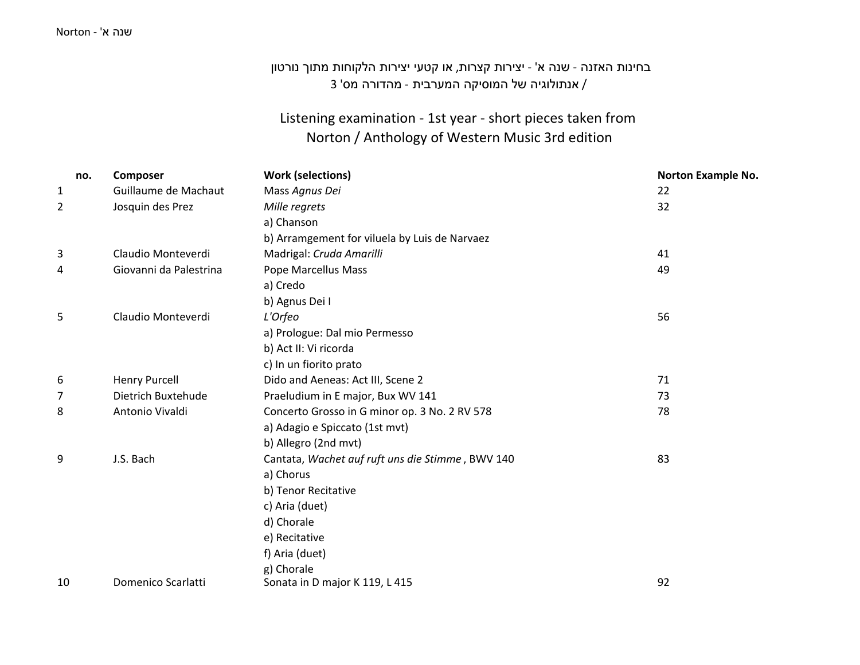#### שנה <sup>א</sup>' - Norton

# בחינות האזנה - שנה <sup>א</sup>' - יצירות קצרות, או קטעי יצירות הלקוחות מתוך נורטון / אנתולוגיה של המוסיקה המערבית - מהדורה מס' 3

### Listening examination - 1st year - short pieces taken from Norton / Anthology of Western Music 3rd edition

| no.          | Composer               | <b>Work (selections)</b>                         | <b>Norton Example No.</b> |
|--------------|------------------------|--------------------------------------------------|---------------------------|
| $\mathbf{1}$ | Guillaume de Machaut   | Mass Agnus Dei                                   | 22                        |
| 2            | Josquin des Prez       | Mille regrets                                    | 32                        |
|              |                        | a) Chanson                                       |                           |
|              |                        | b) Arramgement for viluela by Luis de Narvaez    |                           |
| 3            | Claudio Monteverdi     | Madrigal: Cruda Amarilli                         | 41                        |
| 4            | Giovanni da Palestrina | Pope Marcellus Mass                              | 49                        |
|              |                        | a) Credo                                         |                           |
|              |                        | b) Agnus Dei I                                   |                           |
| 5            | Claudio Monteverdi     | L'Orfeo                                          | 56                        |
|              |                        | a) Prologue: Dal mio Permesso                    |                           |
|              |                        | b) Act II: Vi ricorda                            |                           |
|              |                        | c) In un fiorito prato                           |                           |
| 6            | <b>Henry Purcell</b>   | Dido and Aeneas: Act III, Scene 2                | 71                        |
| 7            | Dietrich Buxtehude     | Praeludium in E major, Bux WV 141                | 73                        |
| 8            | Antonio Vivaldi        | Concerto Grosso in G minor op. 3 No. 2 RV 578    | 78                        |
|              |                        | a) Adagio e Spiccato (1st mvt)                   |                           |
|              |                        | b) Allegro (2nd mvt)                             |                           |
| 9            | J.S. Bach              | Cantata, Wachet auf ruft uns die Stimme, BWV 140 | 83                        |
|              |                        | a) Chorus                                        |                           |
|              |                        | b) Tenor Recitative                              |                           |
|              |                        | c) Aria (duet)                                   |                           |
|              |                        | d) Chorale                                       |                           |
|              |                        | e) Recitative                                    |                           |
|              |                        | f) Aria (duet)                                   |                           |
|              |                        | g) Chorale                                       |                           |
| 10           | Domenico Scarlatti     | Sonata in D major K 119, L 415                   | 92                        |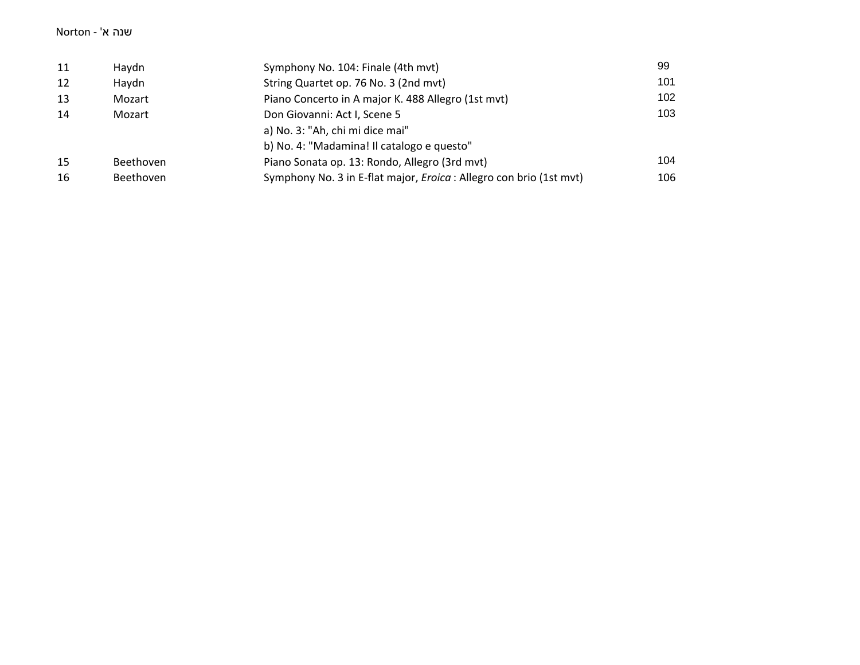#### שנה <sup>א</sup>' - Norton

| 11 | Haydn     | Symphony No. 104: Finale (4th mvt)                                         | 99  |
|----|-----------|----------------------------------------------------------------------------|-----|
| 12 | Haydn     | String Quartet op. 76 No. 3 (2nd mvt)                                      | 101 |
| 13 | Mozart    | Piano Concerto in A major K. 488 Allegro (1st mvt)                         | 102 |
| 14 | Mozart    | Don Giovanni: Act I, Scene 5                                               | 103 |
|    |           | a) No. 3: "Ah, chi mi dice mai"                                            |     |
|    |           | b) No. 4: "Madamina! Il catalogo e questo"                                 |     |
| 15 | Beethoven | Piano Sonata op. 13: Rondo, Allegro (3rd mvt)                              | 104 |
| 16 | Beethoven | Symphony No. 3 in E-flat major, <i>Eroica</i> : Allegro con brio (1st mvt) | 106 |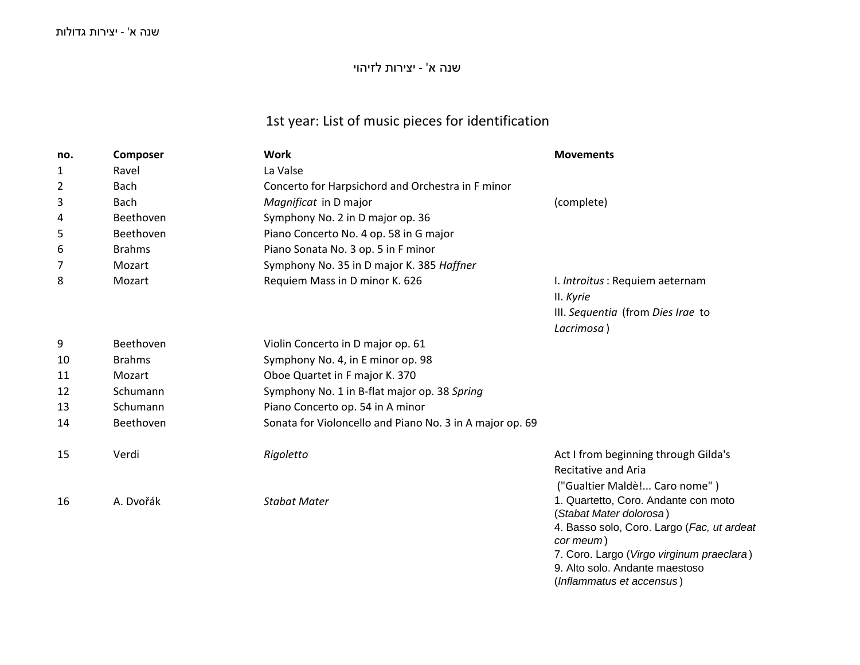## שנה <sup>א</sup>' - יצירות לזיהוי

# 1st year: List of music pieces for identification

| no. | Composer      | <b>Work</b>                                              | <b>Movements</b>                                                      |
|-----|---------------|----------------------------------------------------------|-----------------------------------------------------------------------|
| 1   | Ravel         | La Valse                                                 |                                                                       |
| 2   | Bach          | Concerto for Harpsichord and Orchestra in F minor        |                                                                       |
| 3   | Bach          | Magnificat in D major                                    | (complete)                                                            |
| 4   | Beethoven     | Symphony No. 2 in D major op. 36                         |                                                                       |
| 5   | Beethoven     | Piano Concerto No. 4 op. 58 in G major                   |                                                                       |
| 6   | <b>Brahms</b> | Piano Sonata No. 3 op. 5 in F minor                      |                                                                       |
| 7   | Mozart        | Symphony No. 35 in D major K. 385 Haffner                |                                                                       |
| 8   | Mozart        | Requiem Mass in D minor K. 626                           | I. Introitus: Requiem aeternam                                        |
|     |               |                                                          | II. Kyrie                                                             |
|     |               |                                                          | III. Sequentia (from Dies Irae to                                     |
|     |               |                                                          | Lacrimosa)                                                            |
| 9   | Beethoven     | Violin Concerto in D major op. 61                        |                                                                       |
| 10  | <b>Brahms</b> | Symphony No. 4, in E minor op. 98                        |                                                                       |
| 11  | Mozart        | Oboe Quartet in F major K. 370                           |                                                                       |
| 12  | Schumann      | Symphony No. 1 in B-flat major op. 38 Spring             |                                                                       |
| 13  | Schumann      | Piano Concerto op. 54 in A minor                         |                                                                       |
| 14  | Beethoven     | Sonata for Violoncello and Piano No. 3 in A major op. 69 |                                                                       |
| 15  | Verdi         | Rigoletto                                                | Act I from beginning through Gilda's<br><b>Recitative and Aria</b>    |
|     |               |                                                          |                                                                       |
|     | A. Dvořák     | <b>Stabat Mater</b>                                      | ("Gualtier Maldè! Caro nome")<br>1. Quartetto, Coro. Andante con moto |
| 16  |               |                                                          | (Stabat Mater dolorosa)                                               |
|     |               |                                                          | 4. Basso solo, Coro. Largo (Fac, ut ardeat                            |
|     |               |                                                          | cor meum)                                                             |
|     |               |                                                          | 7. Coro. Largo (Virgo virginum praeclara)                             |
|     |               |                                                          | 9. Alto solo. Andante maestoso                                        |
|     |               |                                                          | (Inflammatus et accensus)                                             |